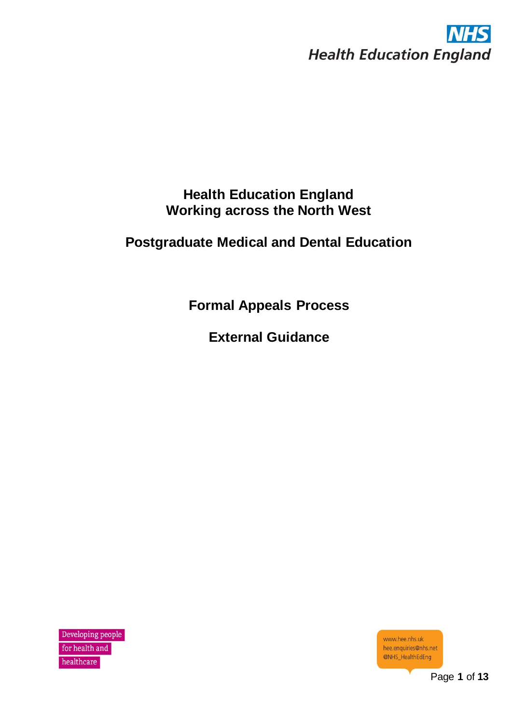

# **Health Education England Working across the North West**

# **Postgraduate Medical and Dental Education**

**Formal Appeals Process**

**External Guidance**

Developing people for health and healthcare

www.hee.nhs.uk hee.enquiries@nhs.net @NHS\_HealthEdEng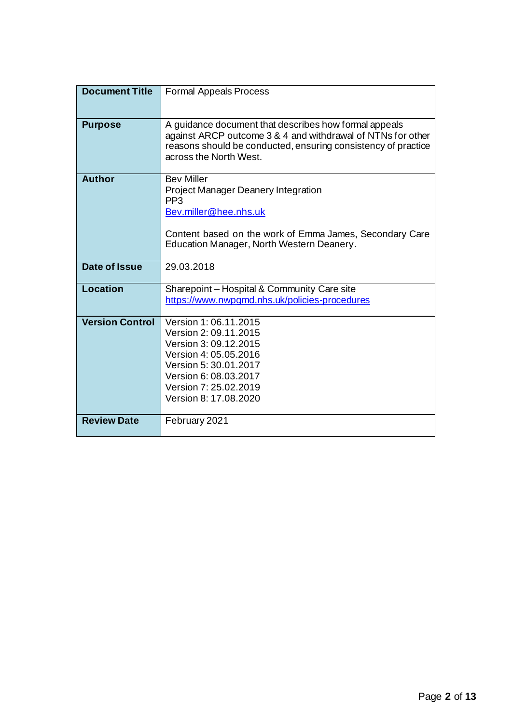| <b>Document Title</b>  | Formal Appeals Process                                                                                                                                                                                          |
|------------------------|-----------------------------------------------------------------------------------------------------------------------------------------------------------------------------------------------------------------|
| <b>Purpose</b>         | A guidance document that describes how formal appeals<br>against ARCP outcome 3 & 4 and withdrawal of NTNs for other<br>reasons should be conducted, ensuring consistency of practice<br>across the North West. |
| <b>Author</b>          | <b>Bev Miller</b><br>Project Manager Deanery Integration<br>PP <sub>3</sub><br>Bev.miller@hee.nhs.uk<br>Content based on the work of Emma James, Secondary Care<br>Education Manager, North Western Deanery.    |
| <b>Date of Issue</b>   | 29.03.2018                                                                                                                                                                                                      |
| Location               | Sharepoint - Hospital & Community Care site<br>https://www.nwpgmd.nhs.uk/policies-procedures                                                                                                                    |
| <b>Version Control</b> | Version 1: 06.11.2015<br>Version 2: 09.11.2015<br>Version 3: 09.12.2015<br>Version 4: 05.05.2016<br>Version 5: 30.01.2017<br>Version 6: 08.03.2017<br>Version 7: 25.02.2019<br>Version 8: 17.08.2020            |
| <b>Review Date</b>     | February 2021                                                                                                                                                                                                   |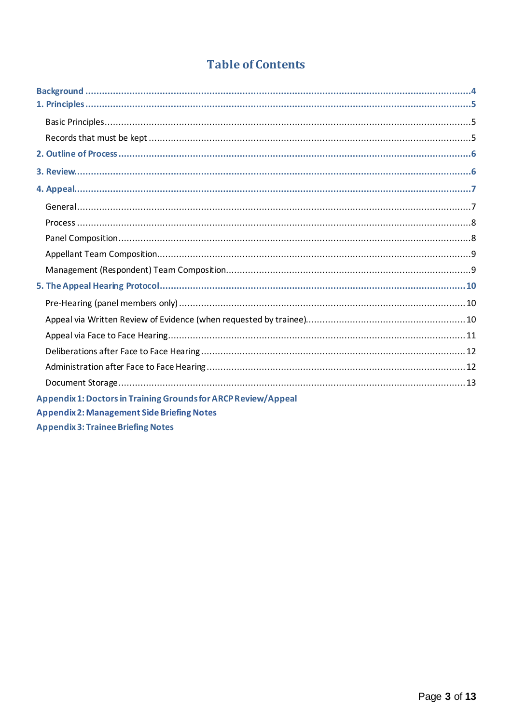# **Table of Contents**

| Appendix 1: Doctors in Training Grounds for ARCP Review/Appeal |  |
|----------------------------------------------------------------|--|
| <b>Appendix 2: Management Side Briefing Notes</b>              |  |
| <b>Appendix 3: Trainee Briefing Notes</b>                      |  |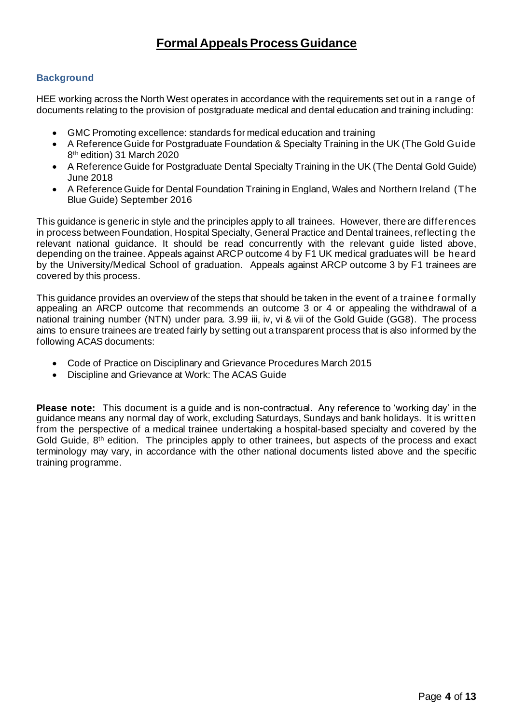# **Formal Appeals Process Guidance**

# **Background**

HEE working across the North West operates in accordance with the requirements set out in a range of documents relating to the provision of postgraduate medical and dental education and training including:

- GMC Promoting excellence: standards for medical education and training
- A Reference Guide for Postgraduate Foundation & Specialty Training in the UK (The Gold Guide 8 th edition) 31 March 2020
- A Reference Guide for Postgraduate Dental Specialty Training in the UK (The Dental Gold Guide) June 2018
- A Reference Guide for Dental Foundation Training in England, Wales and Northern Ireland (The Blue Guide) September 2016

This guidance is generic in style and the principles apply to all trainees. However, there are differences in process between Foundation, Hospital Specialty, General Practice and Dental trainees, reflecting the relevant national guidance. It should be read concurrently with the relevant guide listed above, depending on the trainee. Appeals against ARCP outcome 4 by F1 UK medical graduates will be heard by the University/Medical School of graduation. Appeals against ARCP outcome 3 by F1 trainees are covered by this process.

This guidance provides an overview of the steps that should be taken in the event of a trainee f ormally appealing an ARCP outcome that recommends an outcome 3 or 4 or appealing the withdrawal of a national training number (NTN) under para. 3.99 iii, iv, vi & vii of the Gold Guide (GG8). The process aims to ensure trainees are treated fairly by setting out a transparent process that is also informed by the following ACAS documents:

- Code of Practice on Disciplinary and Grievance Procedures March 2015
- Discipline and Grievance at Work: The ACAS Guide

**Please note:** This document is a guide and is non-contractual. Any reference to 'working day' in the guidance means any normal day of work, excluding Saturdays, Sundays and bank holidays. It is written from the perspective of a medical trainee undertaking a hospital-based specialty and covered by the Gold Guide, 8<sup>th</sup> edition. The principles apply to other trainees, but aspects of the process and exact terminology may vary, in accordance with the other national documents listed above and the specific training programme.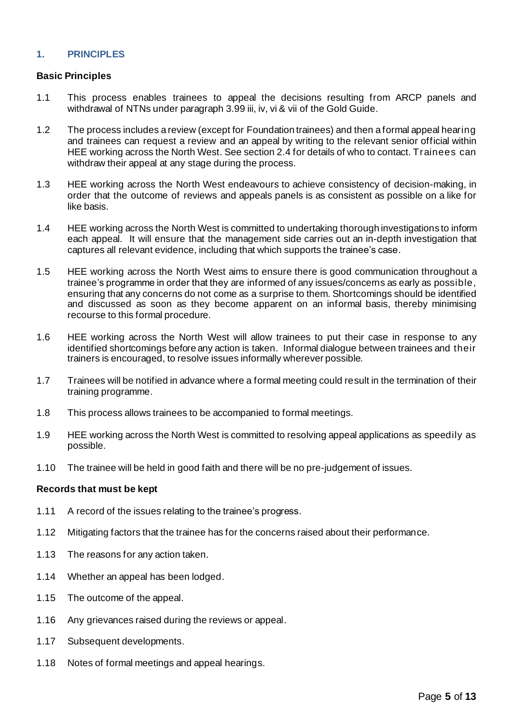# **1. PRINCIPLES**

#### **Basic Principles**

- 1.1 This process enables trainees to appeal the decisions resulting from ARCP panels and withdrawal of NTNs under paragraph 3.99 iii, iv, vi & vii of the Gold Guide.
- 1.2 The process includes a review (except for Foundation trainees) and then a formal appeal hearing and trainees can request a review and an appeal by writing to the relevant senior official within HEE working across the North West. See section 2.4 for details of who to contact. Trainees can withdraw their appeal at any stage during the process.
- 1.3 HEE working across the North West endeavours to achieve consistency of decision-making, in order that the outcome of reviews and appeals panels is as consistent as possible on a like for like basis.
- 1.4 HEE working across the North West is committed to undertaking thorough investigations to inform each appeal. It will ensure that the management side carries out an in-depth investigation that captures all relevant evidence, including that which supports the trainee's case.
- 1.5 HEE working across the North West aims to ensure there is good communication throughout a trainee's programme in order that they are informed of any issues/concerns as early as possible, ensuring that any concerns do not come as a surprise to them. Shortcomings should be identified and discussed as soon as they become apparent on an informal basis, thereby minimising recourse to this formal procedure.
- 1.6 HEE working across the North West will allow trainees to put their case in response to any identified shortcomings before any action is taken. Informal dialogue between trainees and their trainers is encouraged, to resolve issues informally wherever possible.
- 1.7 Trainees will be notified in advance where a formal meeting could result in the termination of their training programme.
- 1.8 This process allows trainees to be accompanied to formal meetings.
- 1.9 HEE working across the North West is committed to resolving appeal applications as speedily as possible.
- 1.10 The trainee will be held in good faith and there will be no pre-judgement of issues.

#### **Records that must be kept**

- 1.11 A record of the issues relating to the trainee's progress.
- 1.12 Mitigating factors that the trainee has for the concerns raised about their performance.
- 1.13 The reasons for any action taken.
- 1.14 Whether an appeal has been lodged.
- 1.15 The outcome of the appeal.
- 1.16 Any grievances raised during the reviews or appeal.
- 1.17 Subsequent developments.
- 1.18 Notes of formal meetings and appeal hearings.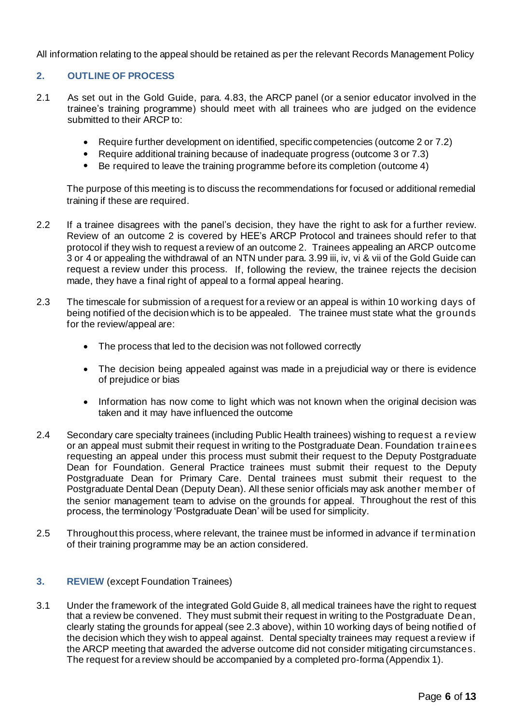All information relating to the appeal should be retained as per the relevant Records Management Policy

# **2. OUTLINE OF PROCESS**

- 2.1 As set out in the Gold Guide, para. 4.83, the ARCP panel (or a senior educator involved in the trainee's training programme) should meet with all trainees who are judged on the evidence submitted to their ARCP to:
	- Require further development on identified, specific competencies (outcome 2 or 7.2)
	- Require additional training because of inadequate progress (outcome 3 or 7.3)
	- Be required to leave the training programme before its completion (outcome 4)

The purpose of this meeting is to discuss the recommendations for focused or additional remedial training if these are required.

- 2.2 If a trainee disagrees with the panel's decision, they have the right to ask for a further review. Review of an outcome 2 is covered by HEE's ARCP Protocol and trainees should refer to that protocol if they wish to request a review of an outcome 2. Trainees appealing an ARCP outcome 3 or 4 or appealing the withdrawal of an NTN under para. 3.99 iii, iv, vi & vii of the Gold Guide can request a review under this process. If, following the review, the trainee rejects the decision made, they have a final right of appeal to a formal appeal hearing.
- 2.3 The timescale for submission of a request for a review or an appeal is within 10 working days of being notified of the decision which is to be appealed. The trainee must state what the grounds for the review/appeal are:
	- The process that led to the decision was not followed correctly
	- The decision being appealed against was made in a prejudicial way or there is evidence of prejudice or bias
	- Information has now come to light which was not known when the original decision was taken and it may have influenced the outcome
- 2.4 Secondary care specialty trainees (including Public Health trainees) wishing to request a review or an appeal must submit their request in writing to the Postgraduate Dean. Foundation trainees requesting an appeal under this process must submit their request to the Deputy Postgraduate Dean for Foundation. General Practice trainees must submit their request to the Deputy Postgraduate Dean for Primary Care. Dental trainees must submit their request to the Postgraduate Dental Dean (Deputy Dean). All these senior officials may ask another member of the senior management team to advise on the grounds for appeal. Throughout the rest of this process, the terminology 'Postgraduate Dean' will be used for simplicity.
- 2.5 Throughout this process, where relevant, the trainee must be informed in advance if termination of their training programme may be an action considered.

#### **3. REVIEW** (except Foundation Trainees)

3.1 Under the framework of the integrated Gold Guide 8, all medical trainees have the right to request that a review be convened. They must submit their request in writing to the Postgraduate Dean, clearly stating the grounds for appeal (see 2.3 above), within 10 working days of being notified of the decision which they wish to appeal against. Dental specialty trainees may request a review if the ARCP meeting that awarded the adverse outcome did not consider mitigating circumstances. The request for a review should be accompanied by a completed pro-forma (Appendix 1).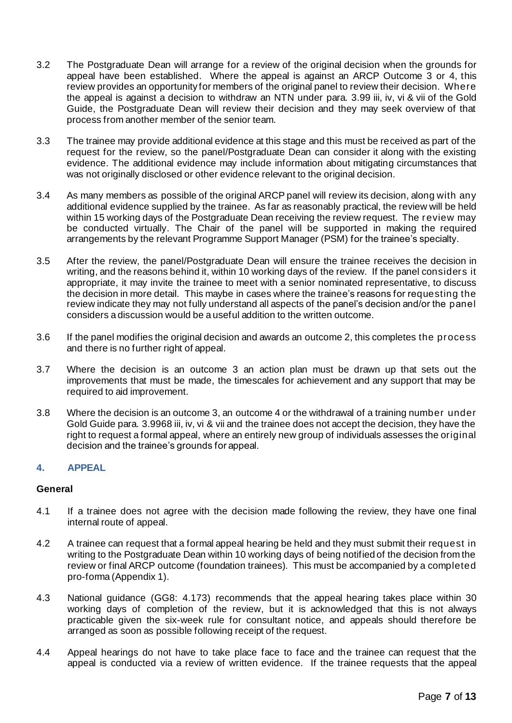- 3.2 The Postgraduate Dean will arrange for a review of the original decision when the grounds for appeal have been established. Where the appeal is against an ARCP Outcome 3 or 4, this review provides an opportunity for members of the original panel to review their decision. Where the appeal is against a decision to withdraw an NTN under para. 3.99 iii, iv, vi & vii of the Gold Guide, the Postgraduate Dean will review their decision and they may seek overview of that process from another member of the senior team.
- 3.3 The trainee may provide additional evidence at this stage and this must be received as part of the request for the review, so the panel/Postgraduate Dean can consider it along with the existing evidence. The additional evidence may include information about mitigating circumstances that was not originally disclosed or other evidence relevant to the original decision.
- 3.4 As many members as possible of the original ARCP panel will review its decision, along with any additional evidence supplied by the trainee. As far as reasonably practical, the review will be held within 15 working days of the Postgraduate Dean receiving the review request. The review may be conducted virtually. The Chair of the panel will be supported in making the required arrangements by the relevant Programme Support Manager (PSM) for the trainee's specialty.
- 3.5 After the review, the panel/Postgraduate Dean will ensure the trainee receives the decision in writing, and the reasons behind it, within 10 working days of the review. If the panel considers it appropriate, it may invite the trainee to meet with a senior nominated representative, to discuss the decision in more detail. This maybe in cases where the trainee's reasons for requesting the review indicate they may not fully understand all aspects of the panel's decision and/or the panel considers a discussion would be a useful addition to the written outcome.
- 3.6 If the panel modifies the original decision and awards an outcome 2, this completes the process and there is no further right of appeal.
- 3.7 Where the decision is an outcome 3 an action plan must be drawn up that sets out the improvements that must be made, the timescales for achievement and any support that may be required to aid improvement.
- 3.8 Where the decision is an outcome 3, an outcome 4 or the withdrawal of a training number under Gold Guide para. 3.9968 iii, iv, vi & vii and the trainee does not accept the decision, they have the right to request a formal appeal, where an entirely new group of individuals assesses the original decision and the trainee's grounds for appeal.

# **4. APPEAL**

#### **General**

- 4.1 If a trainee does not agree with the decision made following the review, they have one final internal route of appeal.
- 4.2 A trainee can request that a formal appeal hearing be held and they must submit their request in writing to the Postgraduate Dean within 10 working days of being notified of the decision from the review or final ARCP outcome (foundation trainees). This must be accompanied by a completed pro-forma (Appendix 1).
- 4.3 National guidance (GG8: 4.173) recommends that the appeal hearing takes place within 30 working days of completion of the review, but it is acknowledged that this is not always practicable given the six-week rule for consultant notice, and appeals should therefore be arranged as soon as possible following receipt of the request.
- 4.4 Appeal hearings do not have to take place face to face and the trainee can request that the appeal is conducted via a review of written evidence. If the trainee requests that the appeal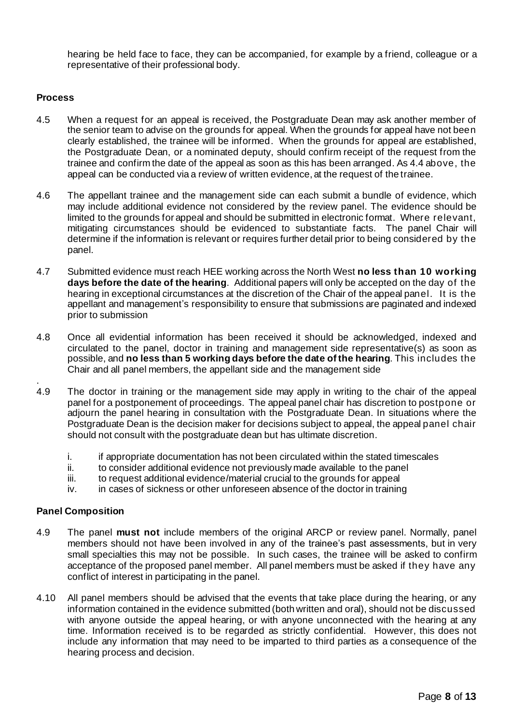hearing be held face to face, they can be accompanied, for example by a friend, colleague or a representative of their professional body.

#### **Process**

- 4.5 When a request for an appeal is received, the Postgraduate Dean may ask another member of the senior team to advise on the grounds for appeal. When the grounds for appeal have not been clearly established, the trainee will be informed. When the grounds for appeal are established, the Postgraduate Dean, or a nominated deputy, should confirm receipt of the request from the trainee and confirm the date of the appeal as soon as this has been arranged. As 4.4 above, the appeal can be conducted via a review of written evidence, at the request of the trainee.
- 4.6 The appellant trainee and the management side can each submit a bundle of evidence, which may include additional evidence not considered by the review panel. The evidence should be limited to the grounds for appeal and should be submitted in electronic format. Where relevant, mitigating circumstances should be evidenced to substantiate facts. The panel Chair will determine if the information is relevant or requires further detail prior to being considered by the panel.
- 4.7 Submitted evidence must reach HEE working across the North West **no less than 10 working days before the date of the hearing**. Additional papers will only be accepted on the day of the hearing in exceptional circumstances at the discretion of the Chair of the appeal panel. It is the appellant and management's responsibility to ensure that submissions are paginated and indexed prior to submission
- 4.8 Once all evidential information has been received it should be acknowledged, indexed and circulated to the panel, doctor in training and management side representative(s) as soon as possible, and **no less than 5 working days before the date of the hearing**. This includes the Chair and all panel members, the appellant side and the management side
- . 4.9 The doctor in training or the management side may apply in writing to the chair of the appeal panel for a postponement of proceedings. The appeal panel chair has discretion to postpone or adjourn the panel hearing in consultation with the Postgraduate Dean. In situations where the Postgraduate Dean is the decision maker for decisions subject to appeal, the appeal panel chair should not consult with the postgraduate dean but has ultimate discretion.
	- i. if appropriate documentation has not been circulated within the stated timescales
	- ii. to consider additional evidence not previously made available to the panel
	- iii. to request additional evidence/material crucial to the grounds for appeal
	- iv. in cases of sickness or other unforeseen absence of the doctor in training

#### **Panel Composition**

- 4.9 The panel **must not** include members of the original ARCP or review panel. Normally, panel members should not have been involved in any of the trainee's past assessments, but in very small specialties this may not be possible. In such cases, the trainee will be asked to confirm acceptance of the proposed panel member. All panel members must be asked if they have any conflict of interest in participating in the panel.
- 4.10 All panel members should be advised that the events that take place during the hearing, or any information contained in the evidence submitted (both written and oral), should not be discussed with anyone outside the appeal hearing, or with anyone unconnected with the hearing at any time. Information received is to be regarded as strictly confidential. However, this does not include any information that may need to be imparted to third parties as a consequence of the hearing process and decision.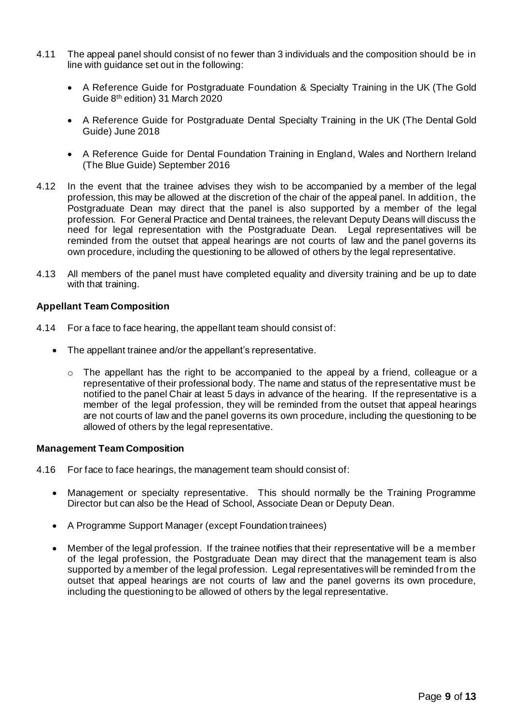- 4.11 The appeal panel should consist of no fewer than 3 individuals and the composition should be in line with guidance set out in the following:
	- A Reference Guide for Postgraduate Foundation & Specialty Training in the UK (The Gold Guide 8 th edition) 31 March 2020
	- A Reference Guide for Postgraduate Dental Specialty Training in the UK (The Dental Gold Guide) June 2018
	- A Reference Guide for Dental Foundation Training in England, Wales and Northern Ireland (The Blue Guide) September 2016
- 4.12 In the event that the trainee advises they wish to be accompanied by a member of the legal profession, this may be allowed at the discretion of the chair of the appeal panel. In addition, the Postgraduate Dean may direct that the panel is also supported by a member of the legal profession. For General Practice and Dental trainees, the relevant Deputy Deans will discuss the need for legal representation with the Postgraduate Dean. Legal representatives will be reminded from the outset that appeal hearings are not courts of law and the panel governs its own procedure, including the questioning to be allowed of others by the legal representative.
- 4.13 All members of the panel must have completed equality and diversity training and be up to date with that training.

#### **Appellant Team Composition**

- 4.14 For a face to face hearing, the appellant team should consist of:
	- The appellant trainee and/or the appellant's representative.
		- $\circ$  The appellant has the right to be accompanied to the appeal by a friend, colleague or a representative of their professional body. The name and status of the representative must be notified to the panel Chair at least 5 days in advance of the hearing. If the representative is a member of the legal profession, they will be reminded from the outset that appeal hearings are not courts of law and the panel governs its own procedure, including the questioning to be allowed of others by the legal representative.

#### **Management Team Composition**

- 4.16 For face to face hearings, the management team should consist of:
	- Management or specialty representative. This should normally be the Training Programme Director but can also be the Head of School, Associate Dean or Deputy Dean.
	- A Programme Support Manager (except Foundation trainees)
	- Member of the legal profession. If the trainee notifies that their representative will be a member of the legal profession, the Postgraduate Dean may direct that the management team is also supported by a member of the legal profession. Legal representatives will be reminded from the outset that appeal hearings are not courts of law and the panel governs its own procedure, including the questioning to be allowed of others by the legal representative.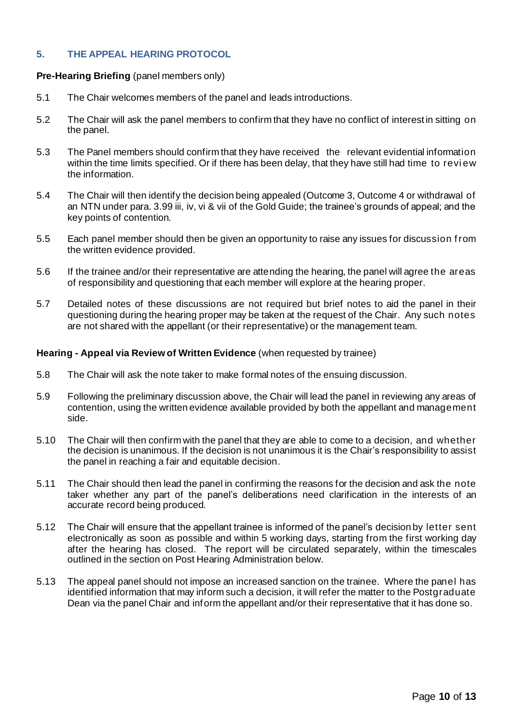# **5. THE APPEAL HEARING PROTOCOL**

#### **Pre-Hearing Briefing** (panel members only)

- 5.1 The Chair welcomes members of the panel and leads introductions.
- 5.2 The Chair will ask the panel members to confirm that they have no conflict of interest in sitting on the panel.
- 5.3 The Panel members should confirm that they have received the relevant evidential information within the time limits specified. Or if there has been delay, that they have still had time to revi ew the information.
- 5.4 The Chair will then identify the decision being appealed (Outcome 3, Outcome 4 or withdrawal of an NTN under para. 3.99 iii, iv, vi & vii of the Gold Guide; the trainee's grounds of appeal; and the key points of contention.
- 5.5 Each panel member should then be given an opportunity to raise any issues for discussion f rom the written evidence provided.
- 5.6 If the trainee and/or their representative are attending the hearing, the panel will agree the areas of responsibility and questioning that each member will explore at the hearing proper.
- 5.7 Detailed notes of these discussions are not required but brief notes to aid the panel in their questioning during the hearing proper may be taken at the request of the Chair. Any such notes are not shared with the appellant (or their representative) or the management team.

#### **Hearing - Appeal via Review of Written Evidence** (when requested by trainee)

- 5.8 The Chair will ask the note taker to make formal notes of the ensuing discussion.
- 5.9 Following the preliminary discussion above, the Chair will lead the panel in reviewing any areas of contention, using the written evidence available provided by both the appellant and management side.
- 5.10 The Chair will then confirm with the panel that they are able to come to a decision, and whether the decision is unanimous. If the decision is not unanimous it is the Chair's responsibility to assist the panel in reaching a fair and equitable decision.
- 5.11 The Chair should then lead the panel in confirming the reasons for the decision and ask the note taker whether any part of the panel's deliberations need clarification in the interests of an accurate record being produced.
- 5.12 The Chair will ensure that the appellant trainee is informed of the panel's decision by letter sent electronically as soon as possible and within 5 working days, starting from the first working day after the hearing has closed. The report will be circulated separately, within the timescales outlined in the section on Post Hearing Administration below.
- 5.13 The appeal panel should not impose an increased sanction on the trainee. Where the panel has identified information that may inform such a decision, it will refer the matter to the Postgraduate Dean via the panel Chair and inform the appellant and/or their representative that it has done so.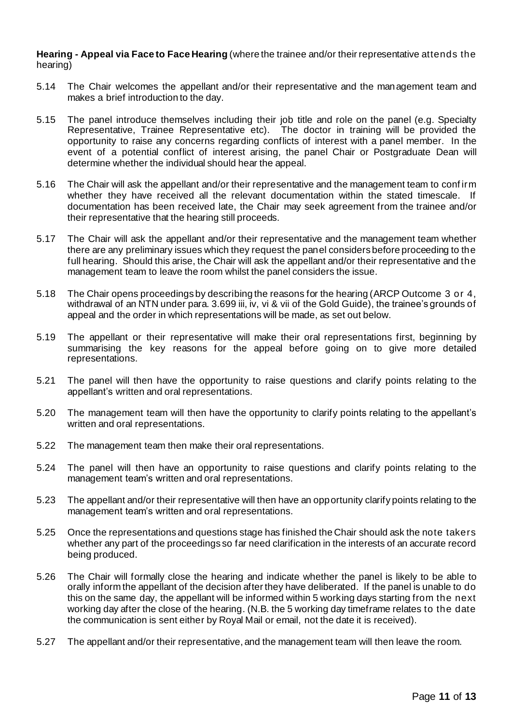**Hearing - Appeal via Face to Face Hearing** (where the trainee and/or their representative attends the hearing)

- 5.14 The Chair welcomes the appellant and/or their representative and the management team and makes a brief introduction to the day.
- 5.15 The panel introduce themselves including their job title and role on the panel (e.g. Specialty Representative, Trainee Representative etc). The doctor in training will be provided the opportunity to raise any concerns regarding conflicts of interest with a panel member. In the event of a potential conflict of interest arising, the panel Chair or Postgraduate Dean will determine whether the individual should hear the appeal.
- 5.16 The Chair will ask the appellant and/or their representative and the management team to conf irm whether they have received all the relevant documentation within the stated timescale. If documentation has been received late, the Chair may seek agreement from the trainee and/or their representative that the hearing still proceeds.
- 5.17 The Chair will ask the appellant and/or their representative and the management team whether there are any preliminary issues which they request the panel considers before proceeding to the full hearing. Should this arise, the Chair will ask the appellant and/or their representative and the management team to leave the room whilst the panel considers the issue.
- 5.18 The Chair opens proceedings by describing the reasons for the hearing (ARCP Outcome 3 or 4, withdrawal of an NTN under para. 3.699 iii, iv, vi & vii of the Gold Guide), the trainee's grounds of appeal and the order in which representations will be made, as set out below.
- 5.19 The appellant or their representative will make their oral representations first, beginning by summarising the key reasons for the appeal before going on to give more detailed representations.
- 5.21 The panel will then have the opportunity to raise questions and clarify points relating to the appellant's written and oral representations.
- 5.20 The management team will then have the opportunity to clarify points relating to the appellant's written and oral representations.
- 5.22 The management team then make their oral representations.
- 5.24 The panel will then have an opportunity to raise questions and clarify points relating to the management team's written and oral representations.
- 5.23 The appellant and/or their representative will then have an opportunity clarify points relating to the management team's written and oral representations.
- 5.25 Once the representations and questions stage has finished the Chair should ask the note takers whether any part of the proceedings so far need clarification in the interests of an accurate record being produced.
- 5.26 The Chair will formally close the hearing and indicate whether the panel is likely to be able to orally inform the appellant of the decision after they have deliberated. If the panel is unable to do this on the same day, the appellant will be informed within 5 working days starting from the next working day after the close of the hearing. (N.B. the 5 working day timeframe relates to the date the communication is sent either by Royal Mail or email, not the date it is received).
- 5.27 The appellant and/or their representative, and the management team will then leave the room.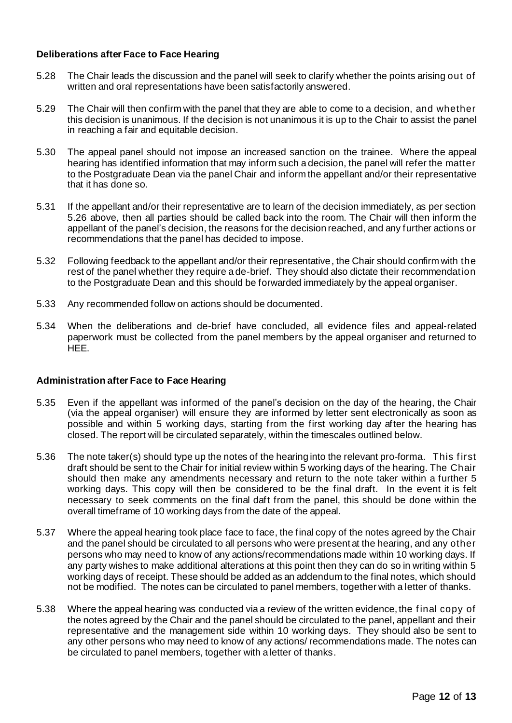# **Deliberations after Face to Face Hearing**

- 5.28 The Chair leads the discussion and the panel will seek to clarify whether the points arising out of written and oral representations have been satisfactorily answered.
- 5.29 The Chair will then confirm with the panel that they are able to come to a decision, and whether this decision is unanimous. If the decision is not unanimous it is up to the Chair to assist the panel in reaching a fair and equitable decision.
- 5.30 The appeal panel should not impose an increased sanction on the trainee. Where the appeal hearing has identified information that may inform such a decision, the panel will refer the matter to the Postgraduate Dean via the panel Chair and inform the appellant and/or their representative that it has done so.
- 5.31 If the appellant and/or their representative are to learn of the decision immediately, as per section 5.26 above, then all parties should be called back into the room. The Chair will then inform the appellant of the panel's decision, the reasons for the decision reached, and any further actions or recommendations that the panel has decided to impose.
- 5.32 Following feedback to the appellant and/or their representative, the Chair should confirm with the rest of the panel whether they require a de-brief. They should also dictate their recommendation to the Postgraduate Dean and this should be forwarded immediately by the appeal organiser.
- 5.33 Any recommended follow on actions should be documented.
- 5.34 When the deliberations and de-brief have concluded, all evidence files and appeal-related paperwork must be collected from the panel members by the appeal organiser and returned to HEE.

#### **Administration after Face to Face Hearing**

- 5.35 Even if the appellant was informed of the panel's decision on the day of the hearing, the Chair (via the appeal organiser) will ensure they are informed by letter sent electronically as soon as possible and within 5 working days, starting from the first working day after the hearing has closed. The report will be circulated separately, within the timescales outlined below.
- 5.36 The note taker(s) should type up the notes of the hearing into the relevant pro-forma. This f irst draft should be sent to the Chair for initial review within 5 working days of the hearing. The Chair should then make any amendments necessary and return to the note taker within a further 5 working days. This copy will then be considered to be the final draft. In the event it is felt necessary to seek comments on the final daft from the panel, this should be done within the overall timeframe of 10 working days from the date of the appeal.
- 5.37 Where the appeal hearing took place face to face, the final copy of the notes agreed by the Chair and the panel should be circulated to all persons who were present at the hearing, and any other persons who may need to know of any actions/recommendations made within 10 working days. If any party wishes to make additional alterations at this point then they can do so in writing within 5 working days of receipt. These should be added as an addendum to the final notes, which should not be modified. The notes can be circulated to panel members, together with a letter of thanks.
- 5.38 Where the appeal hearing was conducted via a review of the written evidence, the f inal copy of the notes agreed by the Chair and the panel should be circulated to the panel, appellant and their representative and the management side within 10 working days. They should also be sent to any other persons who may need to know of any actions/ recommendations made. The notes can be circulated to panel members, together with a letter of thanks.